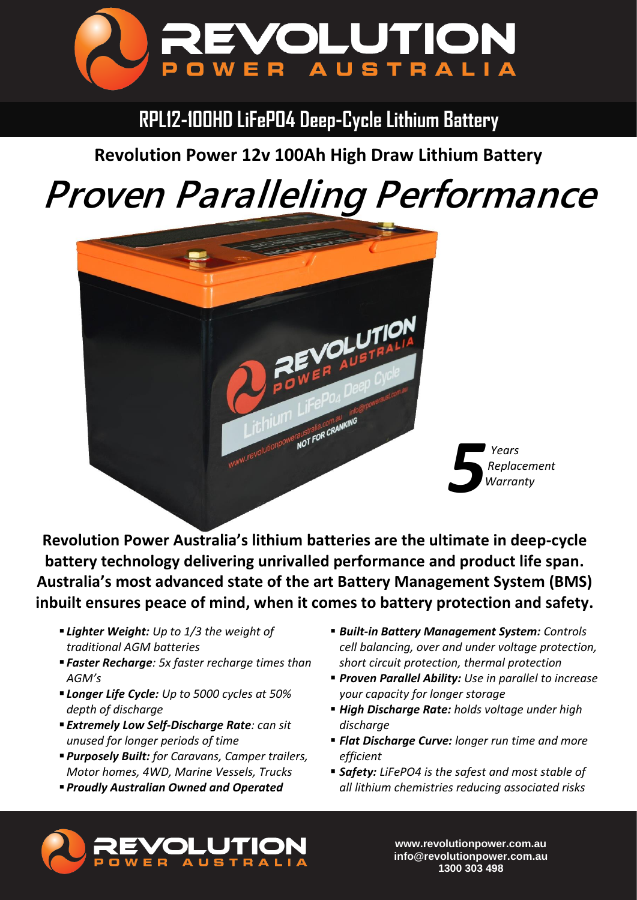

**RPL12-100HD LiFePO4 Deep-Cycle Lithium Battery**

**Revolution Power 12v 100Ah High Draw Lithium Battery**

## *Proven Paralleling Performance*



**Revolution Power Australia's lithium batteries are the ultimate in deep-cycle battery technology delivering unrivalled performance and product life span. Australia's most advanced state of the art Battery Management System (BMS) inbuilt ensures peace of mind, when it comes to battery protection and safety.**

- *Lighter Weight: Up to 1/3 the weight of traditional AGM batteries*
- *Faster Recharge: 5x faster recharge times than AGM's*
- *Longer Life Cycle: Up to 5000 cycles at 50% depth of discharge*
- *Extremely Low Self-Discharge Rate: can sit unused for longer periods of time*
- *Purposely Built: for Caravans, Camper trailers, Motor homes, 4WD, Marine Vessels, Trucks*
- *Proudly Australian Owned and Operated*
- *Built-in Battery Management System: Controls cell balancing, over and under voltage protection, short circuit protection, thermal protection*
- *Proven Parallel Ability: Use in parallel to increase your capacity for longer storage*
- *High Discharge Rate: holds voltage under high discharge*
- *Flat Discharge Curve: longer run time and more efficient*
- *Safety: LiFePO4 is the safest and most stable of all lithium chemistries reducing associated risks*



**www.revolutionpower.com.au info@revolutionpower.com.au 1300 303 498**